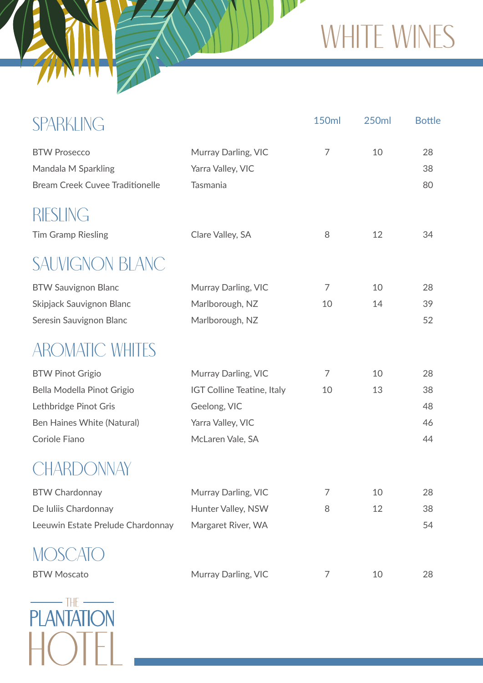## WHITE WINES

 $\mathbf{W}$ 

| <b>SPARKLING</b>                                                                                                              |                                                                                                            | <b>150ml</b> | <b>250ml</b> | <b>Bottle</b>              |
|-------------------------------------------------------------------------------------------------------------------------------|------------------------------------------------------------------------------------------------------------|--------------|--------------|----------------------------|
| <b>BTW Prosecco</b><br>Mandala M Sparkling<br><b>Bream Creek Cuvee Traditionelle</b>                                          | Murray Darling, VIC<br>Yarra Valley, VIC<br>Tasmania                                                       | 7            | 10           | 28<br>38<br>80             |
| RIESLING                                                                                                                      |                                                                                                            | 8            | 12           | 34                         |
| <b>Tim Gramp Riesling</b><br><b>SAUVIGNON BLANC</b>                                                                           | Clare Valley, SA                                                                                           |              |              |                            |
| <b>BTW Sauvignon Blanc</b><br>Skipjack Sauvignon Blanc<br>Seresin Sauvignon Blanc                                             | Murray Darling, VIC<br>Marlborough, NZ<br>Marlborough, NZ                                                  | 7<br>10      | 10<br>14     | 28<br>39<br>52             |
| <b>AROMATIC WHITES</b>                                                                                                        |                                                                                                            |              |              |                            |
| <b>BTW Pinot Grigio</b><br>Bella Modella Pinot Grigio<br>Lethbridge Pinot Gris<br>Ben Haines White (Natural)<br>Coriole Fiano | Murray Darling, VIC<br>IGT Colline Teatine, Italy<br>Geelong, VIC<br>Yarra Valley, VIC<br>McLaren Vale, SA | 7<br>10      | 10<br>13     | 28<br>38<br>48<br>46<br>44 |
| CHARDONNAY                                                                                                                    |                                                                                                            |              |              |                            |
| <b>BTW Chardonnay</b><br>De Iuliis Chardonnay<br>Leeuwin Estate Prelude Chardonnay                                            | Murray Darling, VIC<br>Hunter Valley, NSW<br>Margaret River, WA                                            | 7<br>8       | 10<br>12     | 28<br>38<br>54             |
| <b>BTW Moscato</b>                                                                                                            | Murray Darling, VIC                                                                                        | 7            | 10           | 28                         |



WHAT